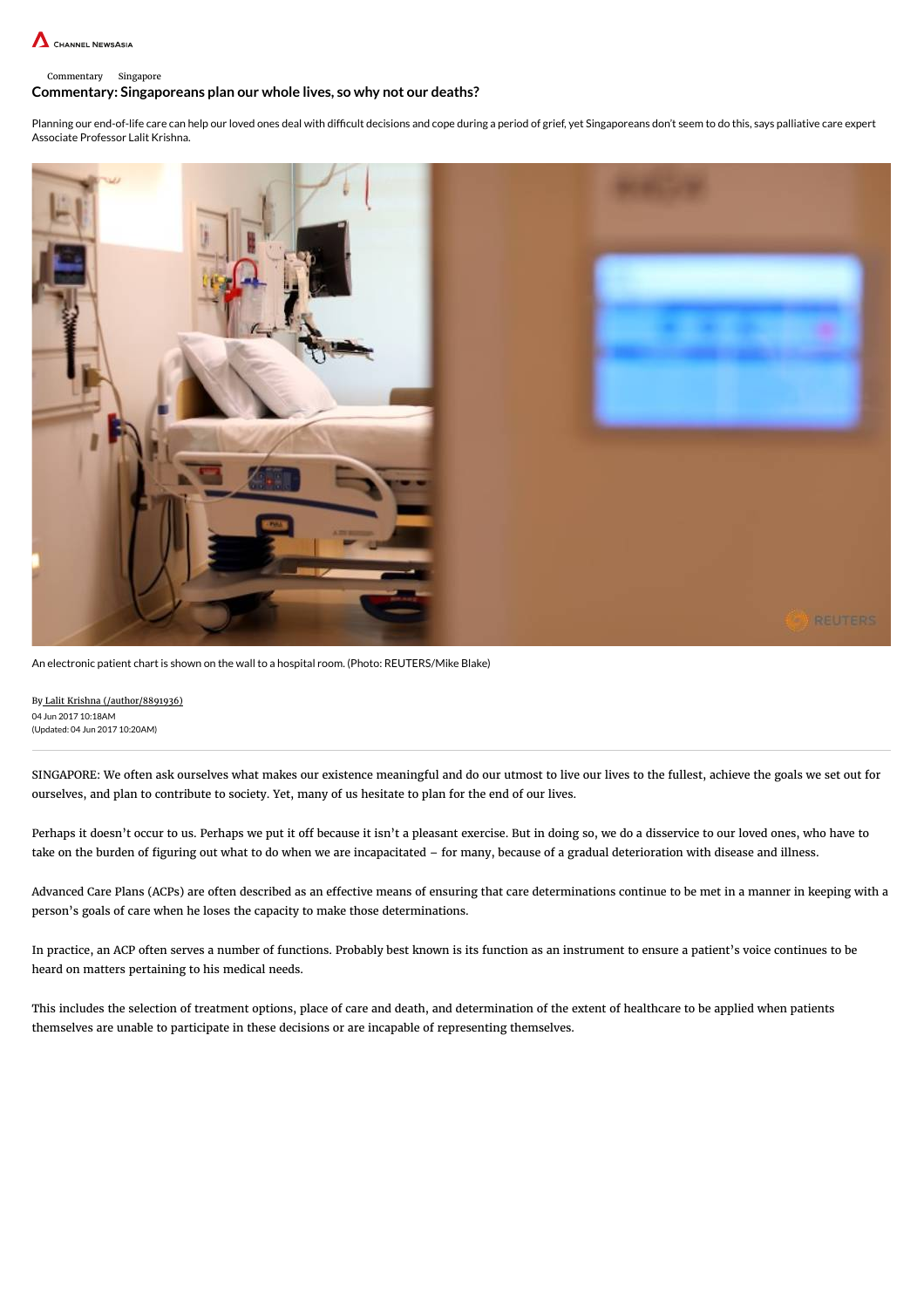

#### Commentary Singapore

#### Commentary: Singaporeans plan our whole lives, so why not our deaths?

Planning our end-of-life care can help our loved ones deal with difficult decisions and cope during a period of grief, yet Singaporeans don't seem to do this, says palliative care expert Associate Professor Lalit Krishna.



An electronic patient chart is shown on the wall to a hospital room. (Photo: REUTERS/Mike Blake)

By Lalit Krishna [\(/author/8891936\)](http://www.channelnewsasia.com/author/8891936) 04 Jun 2017 10:18AM (Updated: 04 Jun 2017 10:20AM)

SINGAPORE: We often ask ourselves what makes our existence meaningful and do our utmost to live our lives to the fullest, achieve the goals we set out for ourselves, and plan to contribute to society. Yet, many of us hesitate to plan for the end of our lives.

Perhaps it doesn't occur to us. Perhaps we put it off because it isn't a pleasant exercise. But in doing so, we do a disservice to our loved ones, who have to take on the burden of figuring out what to do when we are incapacitated – for many, because of a gradual deterioration with disease and illness.

Advanced Care Plans (ACPs) are often described as an effective means of ensuring that care determinations continue to be met in a manner in keeping with a person's goals of care when he loses the capacity to make those determinations.

In practice, an ACP often serves a number of functions. Probably best known is its function as an instrument to ensure a patient's voice continues to be heard on matters pertaining to his medical needs.

This includes the selection of treatment options, place of care and death, and determination of the extent of healthcare to be applied when patients themselves are unable to participate in these decisions or are incapable of representing themselves.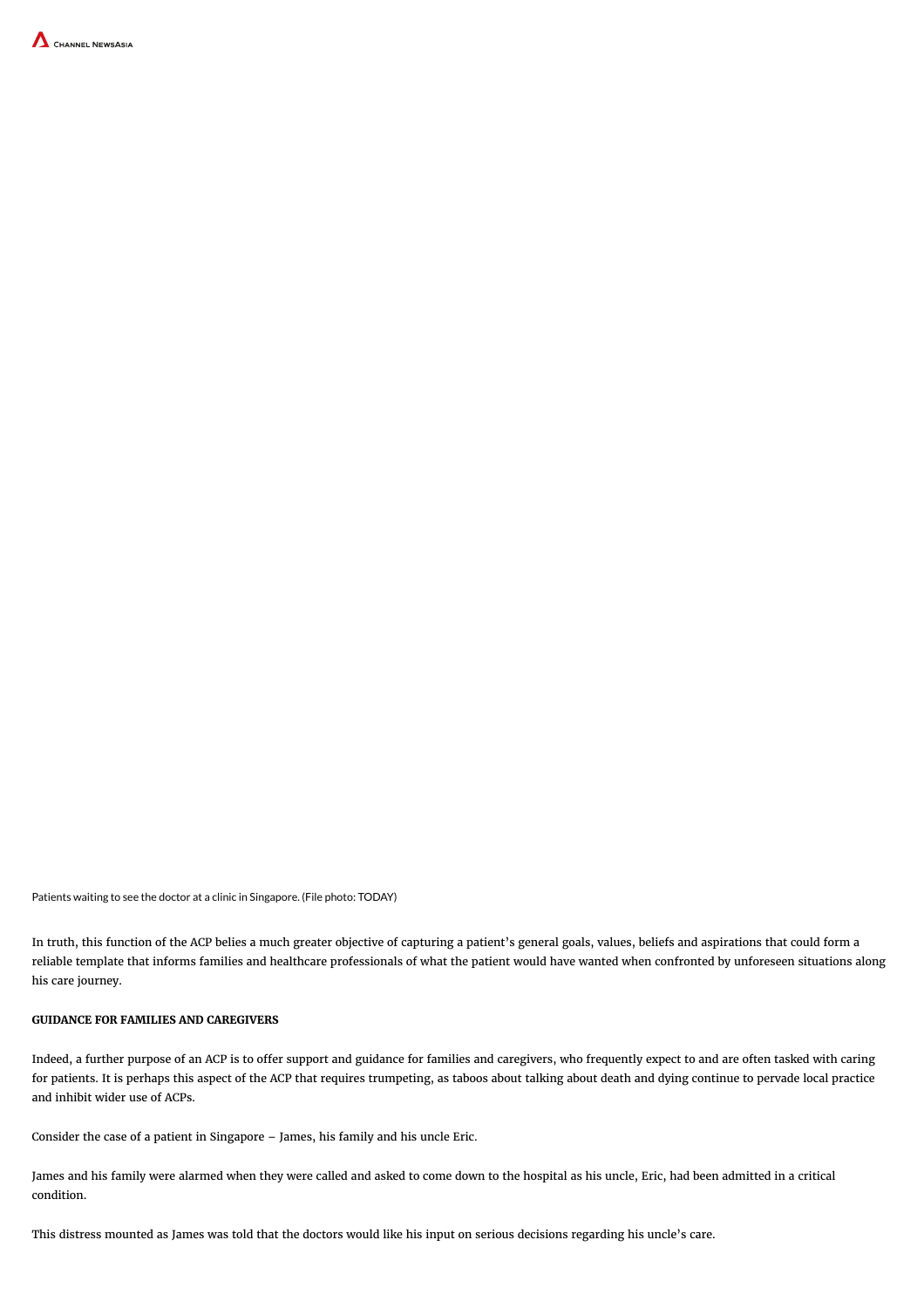

Patients waiting to see the doctor at a clinic in Singapore. (File photo: TODAY)

In truth, this function of the ACP belies a much greater objective of capturing a patient's general goals, values, beliefs and aspirations that could form a reliable template that informs families and healthcare professionals of what the patient would have wanted when confronted by unforeseen situations along his care journey.

#### GUIDANCE FOR FAMILIES AND CAREGIVERS

Indeed, a further purpose of an ACP is to offer support and guidance for families and caregivers, who frequently expect to and are often tasked with caring for patients. It is perhaps this aspect of the ACP that requires trumpeting, as taboos about talking about death and dying continue to pervade local practice and inhibit wider use of ACPs.

Consider the case of a patient in Singapore – James, his family and his uncle Eric.

James and his family were alarmed when they were called and asked to come down to the hospital as his uncle, Eric, had been admitted in a critical condition.

This distress mounted as James was told that the doctors would like his input on serious decisions regarding his uncle's care.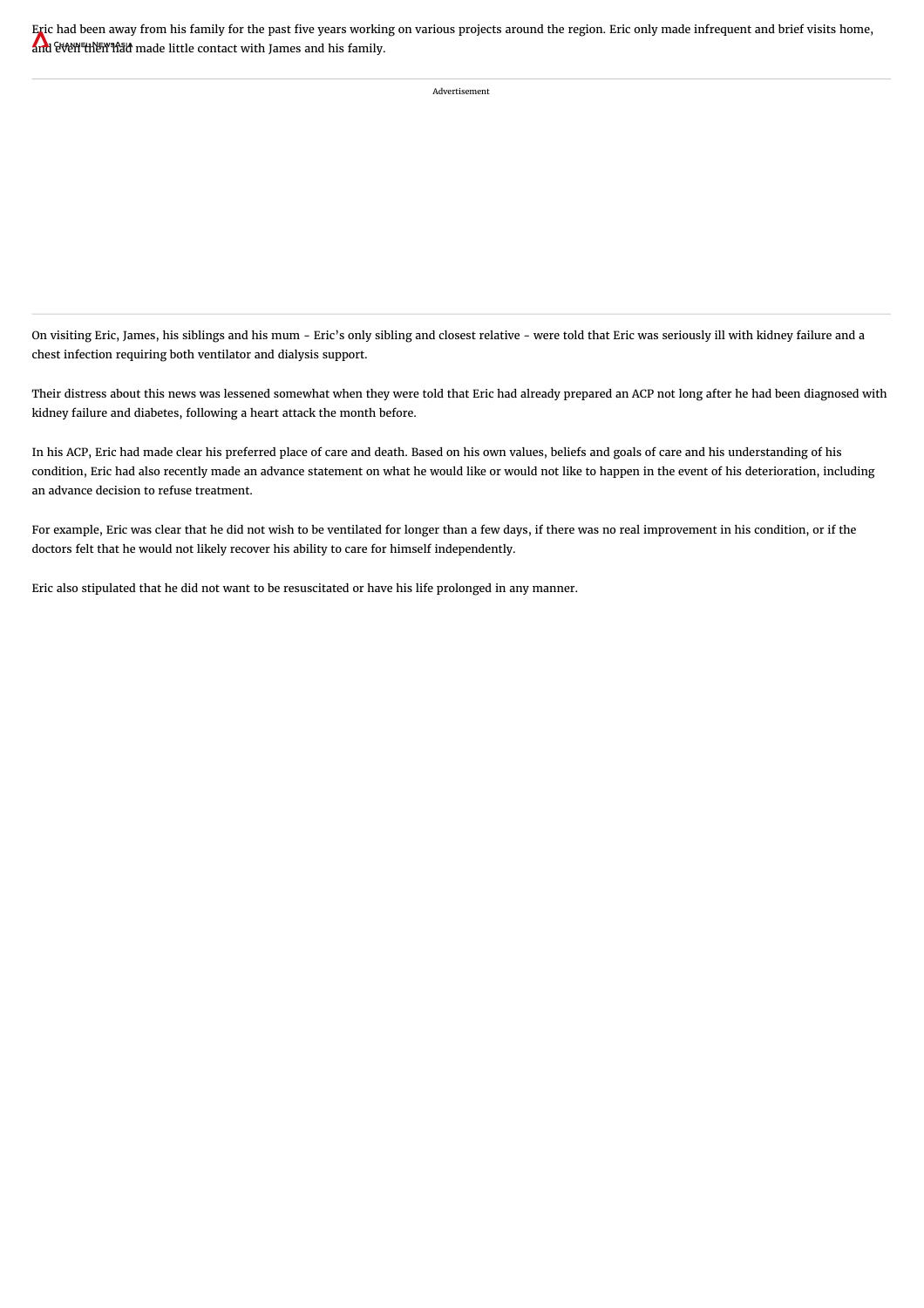Eric had [been](http://www.channelnewsasia.com/news) away from his family for the past five years working on various projects around the region. Eric only made infrequent and brief visits home, and even then had made little contact with James and his family.

Advertisement

On visiting Eric, James, his siblings and his mum - Eric's only sibling and closest relative - were told that Eric was seriously ill with kidney failure and a chest infection requiring both ventilator and dialysis support.

Their distress about this news was lessened somewhat when they were told that Eric had already prepared an ACP not long after he had been diagnosed with kidney failure and diabetes, following a heart attack the month before.

In his ACP, Eric had made clear his preferred place of care and death. Based on his own values, beliefs and goals of care and his understanding of his condition, Eric had also recently made an advance statement on what he would like or would not like to happen in the event of his deterioration, including an advance decision to refuse treatment.

For example, Eric was clear that he did not wish to be ventilated for longer than a few days, if there was no real improvement in his condition, or if the doctors felt that he would not likely recover his ability to care for himself independently.

Eric also stipulated that he did not want to be resuscitated or have his life prolonged in any manner.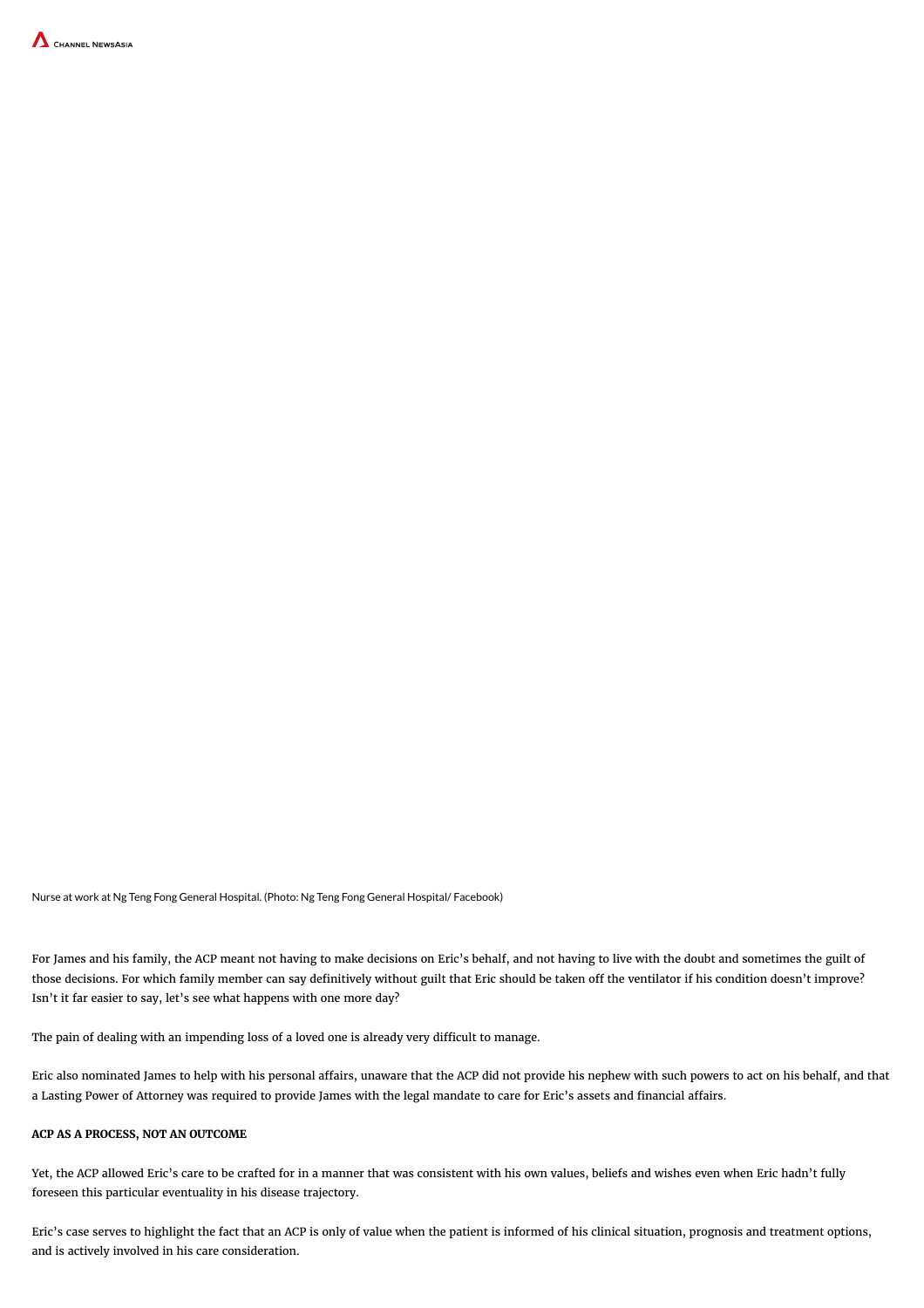

Nurse at work at Ng Teng Fong General Hospital. (Photo: Ng Teng Fong General Hospital/ Facebook)

For James and his family, the ACP meant not having to make decisions on Eric's behalf, and not having to live with the doubt and sometimes the guilt of those decisions. For which family member can say definitively without guilt that Eric should be taken off the ventilator if his condition doesn't improve? Isn't it far easier to say, let's see what happens with one more day?

The pain of dealing with an impending loss of a loved one is already very difficult to manage.

Eric also nominated James to help with his personal affairs, unaware that the ACP did not provide his nephew with such powers to act on his behalf, and that a Lasting Power of Attorney was required to provide James with the legal mandate to care for Eric's assets and financial affairs.

## ACP AS A PROCESS, NOT AN OUTCOME

Yet, the ACP allowed Eric's care to be crafted for in a manner that was consistent with his own values, beliefs and wishes even when Eric hadn't fully foreseen this particular eventuality in his disease trajectory.

Eric's case serves to highlight the fact that an ACP is only of value when the patient is informed of his clinical situation, prognosis and treatment options, and is actively involved in his care consideration.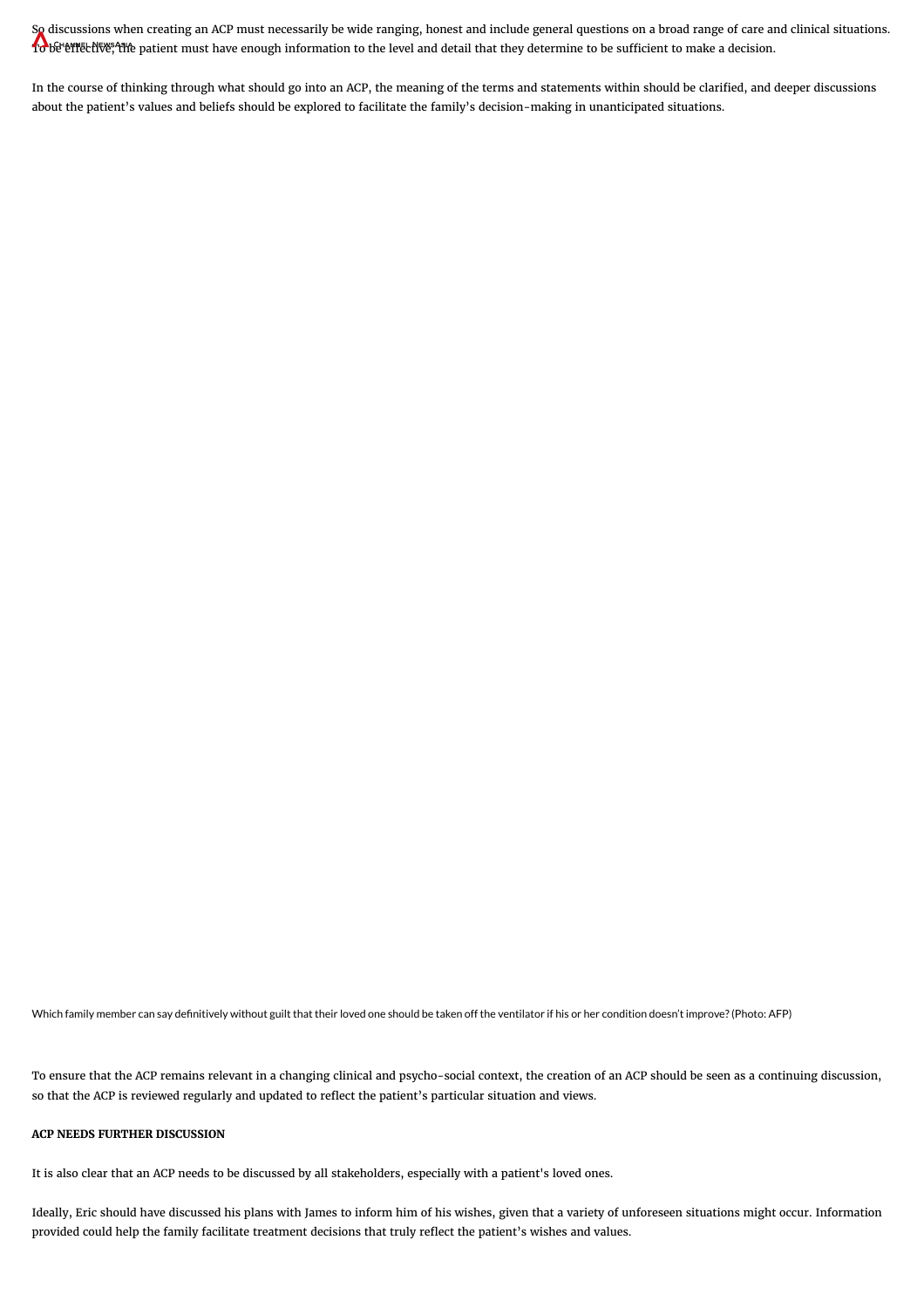So [discussions](http://www.channelnewsasia.com/news) when creating an ACP must necessarily be wide ranging, honest and include general questions on a broad range of care and clinical situations. To be effective, the patient must have enough information to the level and detail that they determine to be sufficient to make a decision.

In the course of thinking through what should go into an ACP, the meaning of the terms and statements within should be clarified, and deeper discussions about the patient's values and beliefs should be explored to facilitate the family's decision-making in unanticipated situations.

Which family member can say definitively without guilt that their loved one should be taken off the ventilator if his or her condition doesn't improve? (Photo: AFP)

To ensure that the ACP remains relevant in a changing clinical and psycho-social context, the creation of an ACP should be seen as a continuing discussion, so that the ACP is reviewed regularly and updated to reflect the patient's particular situation and views.

## ACP NEEDS FURTHER DISCUSSION

It is also clear that an ACP needs to be discussed by all stakeholders, especially with a patient's loved ones.

Ideally, Eric should have discussed his plans with James to inform him of his wishes, given that a variety of unforeseen situations might occur. Information provided could help the family facilitate treatment decisions that truly reflect the patient's wishes and values.